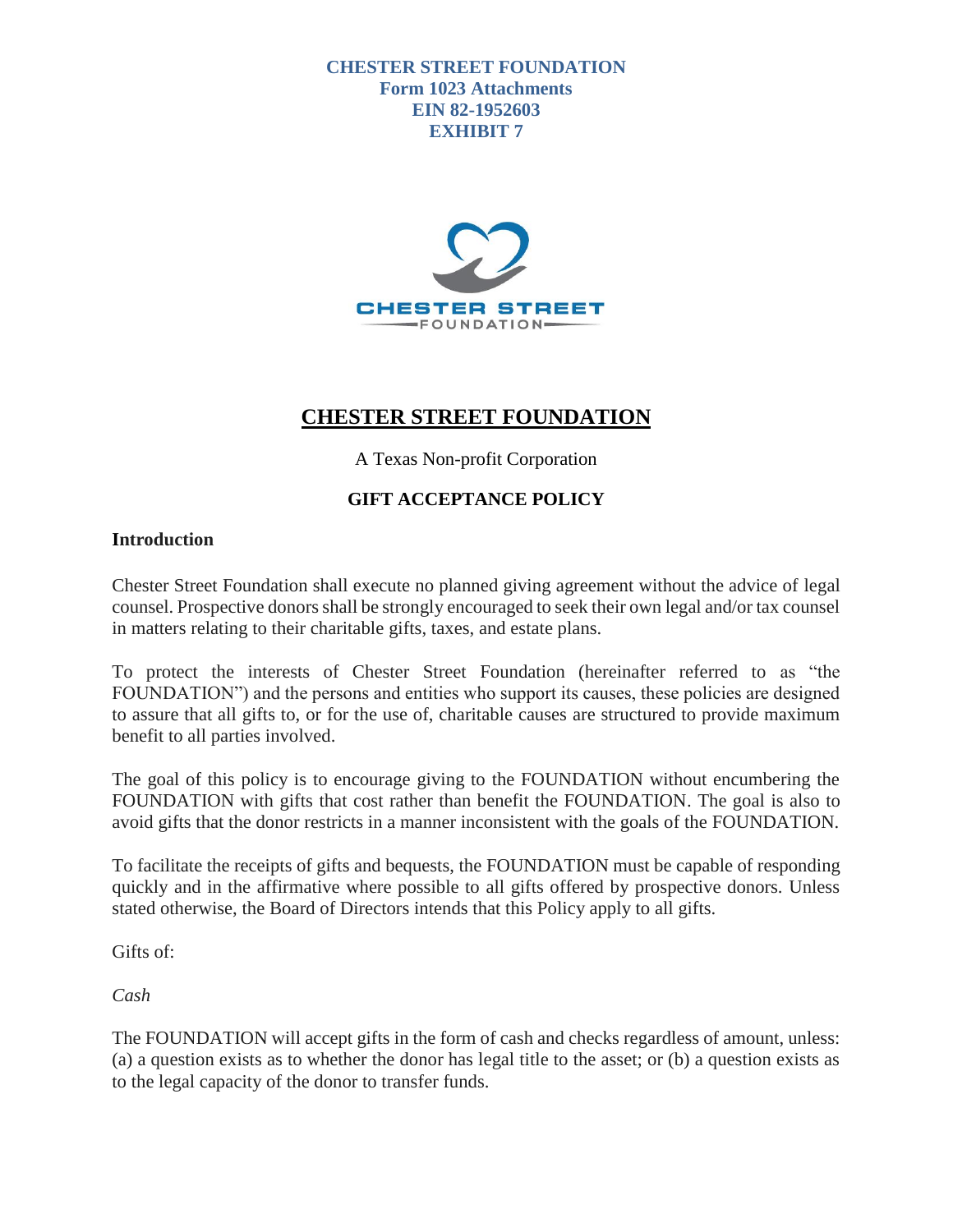**CHESTER STREET FOUNDATION Form 1023 Attachments EIN 82-1952603 EXHIBIT 7**



# **CHESTER STREET FOUNDATION**

A Texas Non-profit Corporation

# **GIFT ACCEPTANCE POLICY**

### **Introduction**

Chester Street Foundation shall execute no planned giving agreement without the advice of legal counsel. Prospective donors shall be strongly encouraged to seek their own legal and/or tax counsel in matters relating to their charitable gifts, taxes, and estate plans.

To protect the interests of Chester Street Foundation (hereinafter referred to as "the FOUNDATION") and the persons and entities who support its causes, these policies are designed to assure that all gifts to, or for the use of, charitable causes are structured to provide maximum benefit to all parties involved.

The goal of this policy is to encourage giving to the FOUNDATION without encumbering the FOUNDATION with gifts that cost rather than benefit the FOUNDATION. The goal is also to avoid gifts that the donor restricts in a manner inconsistent with the goals of the FOUNDATION.

To facilitate the receipts of gifts and bequests, the FOUNDATION must be capable of responding quickly and in the affirmative where possible to all gifts offered by prospective donors. Unless stated otherwise, the Board of Directors intends that this Policy apply to all gifts.

Gifts of:

*Cash*

The FOUNDATION will accept gifts in the form of cash and checks regardless of amount, unless: (a) a question exists as to whether the donor has legal title to the asset; or (b) a question exists as to the legal capacity of the donor to transfer funds.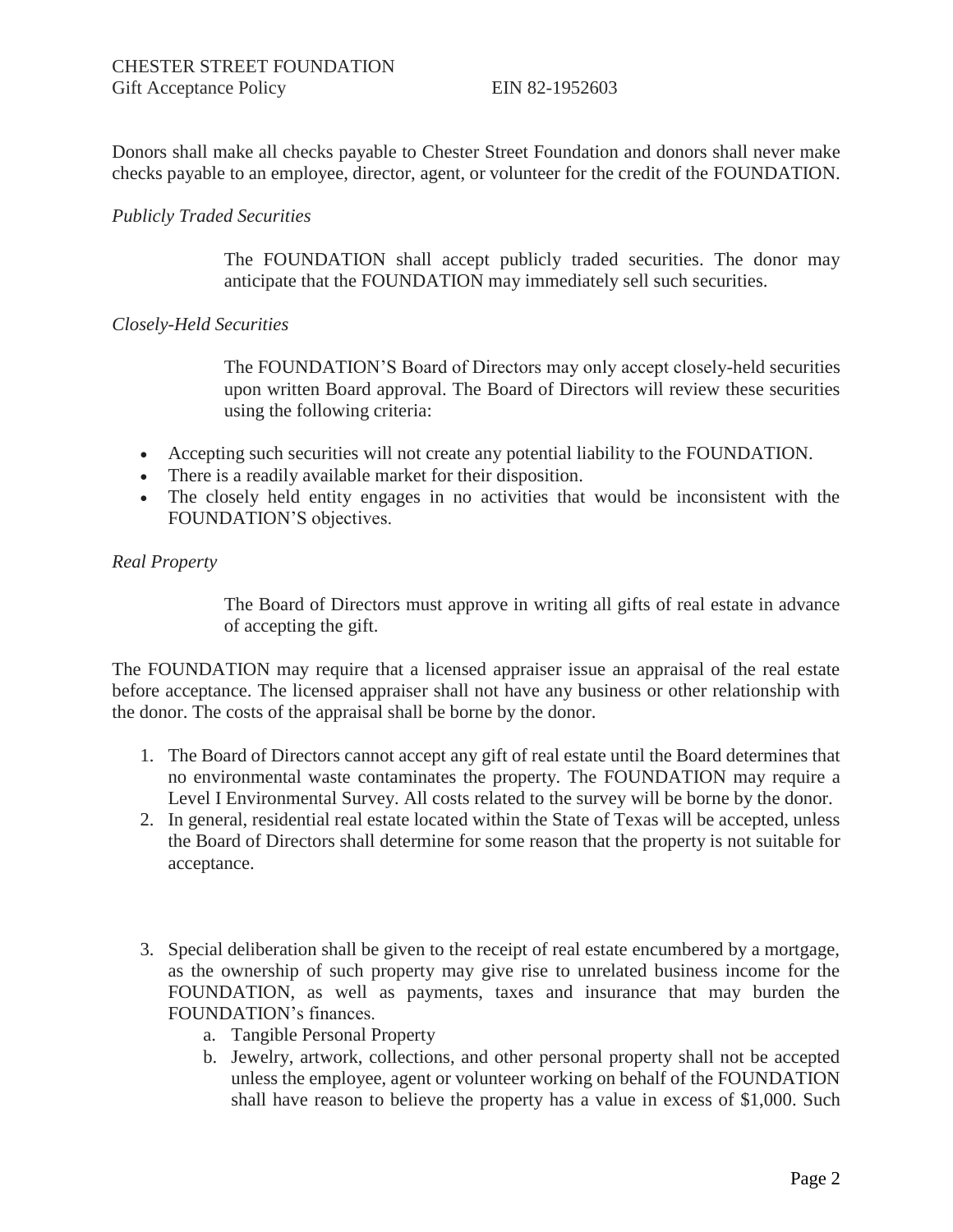Donors shall make all checks payable to Chester Street Foundation and donors shall never make checks payable to an employee, director, agent, or volunteer for the credit of the FOUNDATION.

#### *Publicly Traded Securities*

The FOUNDATION shall accept publicly traded securities. The donor may anticipate that the FOUNDATION may immediately sell such securities.

#### *Closely-Held Securities*

The FOUNDATION'S Board of Directors may only accept closely-held securities upon written Board approval. The Board of Directors will review these securities using the following criteria:

- Accepting such securities will not create any potential liability to the FOUNDATION.
- There is a readily available market for their disposition.
- The closely held entity engages in no activities that would be inconsistent with the FOUNDATION'S objectives.

#### *Real Property*

The Board of Directors must approve in writing all gifts of real estate in advance of accepting the gift.

The FOUNDATION may require that a licensed appraiser issue an appraisal of the real estate before acceptance. The licensed appraiser shall not have any business or other relationship with the donor. The costs of the appraisal shall be borne by the donor.

- 1. The Board of Directors cannot accept any gift of real estate until the Board determines that no environmental waste contaminates the property. The FOUNDATION may require a Level I Environmental Survey. All costs related to the survey will be borne by the donor.
- 2. In general, residential real estate located within the State of Texas will be accepted, unless the Board of Directors shall determine for some reason that the property is not suitable for acceptance.
- 3. Special deliberation shall be given to the receipt of real estate encumbered by a mortgage, as the ownership of such property may give rise to unrelated business income for the FOUNDATION, as well as payments, taxes and insurance that may burden the FOUNDATION's finances.
	- a. Tangible Personal Property
	- b. Jewelry, artwork, collections, and other personal property shall not be accepted unless the employee, agent or volunteer working on behalf of the FOUNDATION shall have reason to believe the property has a value in excess of \$1,000. Such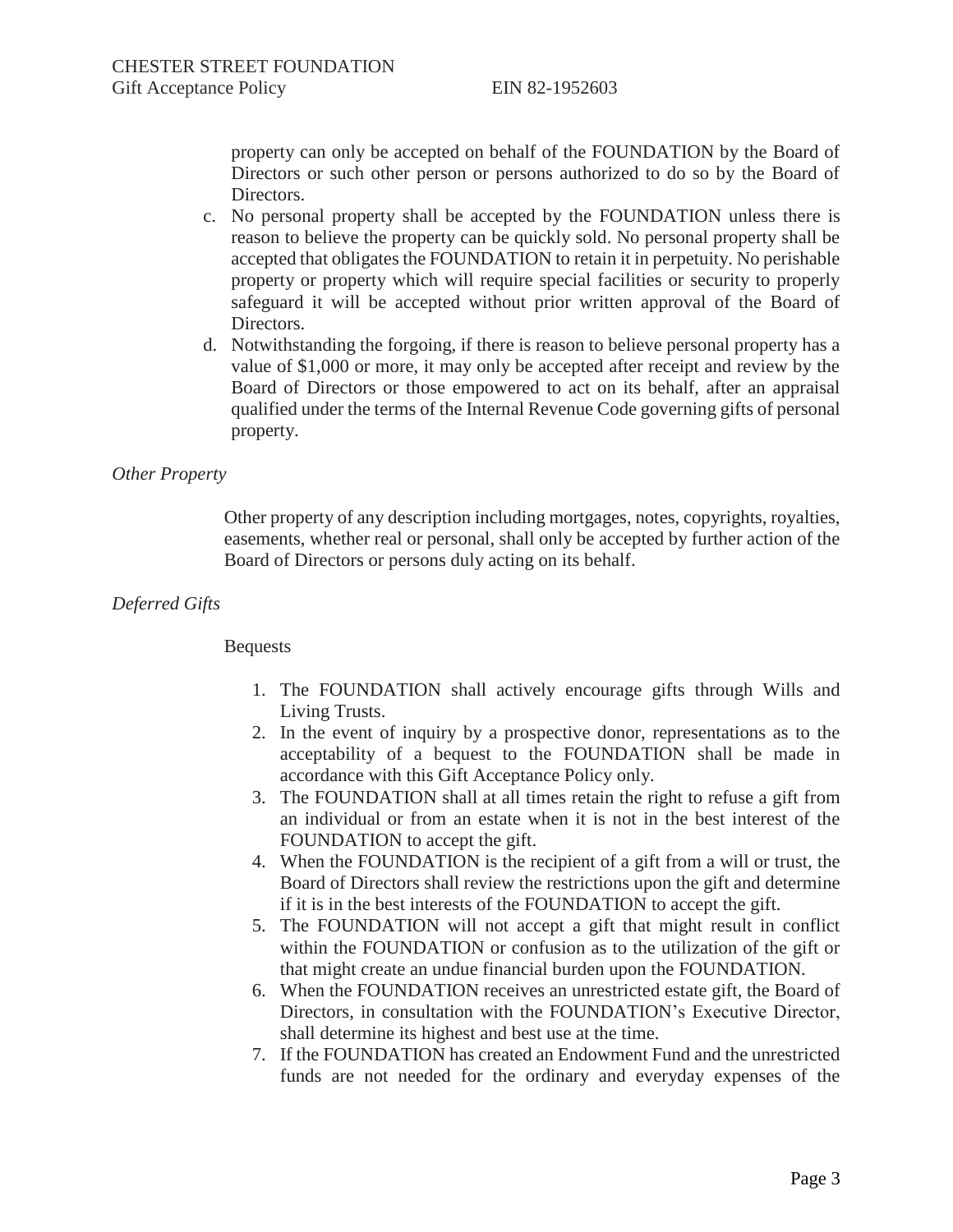property can only be accepted on behalf of the FOUNDATION by the Board of Directors or such other person or persons authorized to do so by the Board of Directors.

- c. No personal property shall be accepted by the FOUNDATION unless there is reason to believe the property can be quickly sold. No personal property shall be accepted that obligates the FOUNDATION to retain it in perpetuity. No perishable property or property which will require special facilities or security to properly safeguard it will be accepted without prior written approval of the Board of Directors.
- d. Notwithstanding the forgoing, if there is reason to believe personal property has a value of \$1,000 or more, it may only be accepted after receipt and review by the Board of Directors or those empowered to act on its behalf, after an appraisal qualified under the terms of the Internal Revenue Code governing gifts of personal property.

#### *Other Property*

Other property of any description including mortgages, notes, copyrights, royalties, easements, whether real or personal, shall only be accepted by further action of the Board of Directors or persons duly acting on its behalf.

#### *Deferred Gifts*

#### Bequests

- 1. The FOUNDATION shall actively encourage gifts through Wills and Living Trusts.
- 2. In the event of inquiry by a prospective donor, representations as to the acceptability of a bequest to the FOUNDATION shall be made in accordance with this Gift Acceptance Policy only.
- 3. The FOUNDATION shall at all times retain the right to refuse a gift from an individual or from an estate when it is not in the best interest of the FOUNDATION to accept the gift.
- 4. When the FOUNDATION is the recipient of a gift from a will or trust, the Board of Directors shall review the restrictions upon the gift and determine if it is in the best interests of the FOUNDATION to accept the gift.
- 5. The FOUNDATION will not accept a gift that might result in conflict within the FOUNDATION or confusion as to the utilization of the gift or that might create an undue financial burden upon the FOUNDATION.
- 6. When the FOUNDATION receives an unrestricted estate gift, the Board of Directors, in consultation with the FOUNDATION's Executive Director, shall determine its highest and best use at the time.
- 7. If the FOUNDATION has created an Endowment Fund and the unrestricted funds are not needed for the ordinary and everyday expenses of the